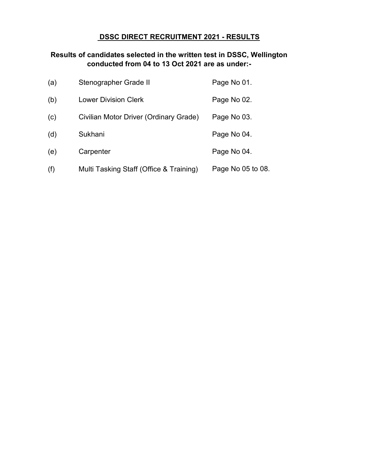### DSSC DIRECT RECRUITMENT 2021 - RESULTS

### Results of candidates selected in the written test in DSSC, Wellington conducted from 04 to 13 Oct 2021 are as under:-

| (a) | Stenographer Grade II                   | Page No 01.       |
|-----|-----------------------------------------|-------------------|
| (b) | Lower Division Clerk                    | Page No 02.       |
| (c) | Civilian Motor Driver (Ordinary Grade)  | Page No 03.       |
| (d) | Sukhani                                 | Page No 04.       |
| (e) | Carpenter                               | Page No 04.       |
| (f) | Multi Tasking Staff (Office & Training) | Page No 05 to 08. |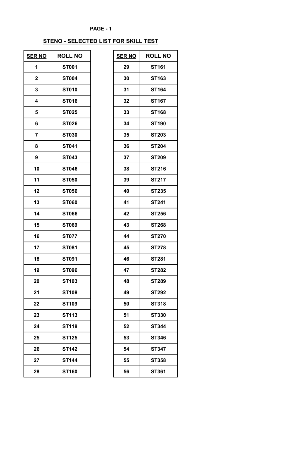# STENO - SELECTED LIST FOR SKILL TEST

| <b>SER NO</b>  | <b>ROLL NO</b> | <b>SER NO</b> | <b>ROLL NO</b> |
|----------------|----------------|---------------|----------------|
| 1              | <b>ST001</b>   | 29            | <b>ST161</b>   |
| $\mathbf 2$    | <b>ST004</b>   | 30            | ST163          |
| 3              | <b>ST010</b>   | 31            | <b>ST164</b>   |
| 4              | <b>ST016</b>   | 32            | <b>ST167</b>   |
| 5              | <b>ST025</b>   | 33            | <b>ST168</b>   |
| 6              | <b>ST026</b>   | 34            | <b>ST190</b>   |
| $\overline{7}$ | <b>ST030</b>   | 35            | <b>ST203</b>   |
| 8              | <b>ST041</b>   | 36            | <b>ST204</b>   |
| 9              | <b>ST043</b>   | 37            | <b>ST209</b>   |
| 10             | <b>ST046</b>   | 38            | <b>ST216</b>   |
| 11             | <b>ST050</b>   | 39            | <b>ST217</b>   |
| 12             | <b>ST056</b>   | 40            | <b>ST235</b>   |
| 13             | <b>ST060</b>   | 41            | <b>ST241</b>   |
| 14             | <b>ST066</b>   | 42            | <b>ST256</b>   |
| 15             | <b>ST069</b>   | 43            | <b>ST268</b>   |
| 16             | <b>ST077</b>   | 44            | <b>ST270</b>   |
| 17             | <b>ST081</b>   | 45            | <b>ST278</b>   |
| 18             | <b>ST091</b>   | 46            | <b>ST281</b>   |
| 19             | <b>ST096</b>   | 47            | <b>ST282</b>   |
| 20             | <b>ST103</b>   | 48            | <b>ST289</b>   |
| 21             | <b>ST108</b>   | 49            | <b>ST292</b>   |
| 22             | <b>ST109</b>   | 50            | <b>ST318</b>   |
| 23             | <b>ST113</b>   | 51            | <b>ST330</b>   |
| 24             | <b>ST118</b>   | 52            | <b>ST344</b>   |
| 25             | <b>ST125</b>   | 53            | <b>ST346</b>   |
| 26             | <b>ST142</b>   | 54            | <b>ST347</b>   |
| 27             | <b>ST144</b>   | 55            | ST358          |
| 28             | <b>ST160</b>   | 56            | ST361          |

| R NO                    | <b>ROLL NO</b> | <b>SER NO</b> | <b>ROLL NO</b> |
|-------------------------|----------------|---------------|----------------|
| $\mathbf 1$             | <b>ST001</b>   | 29            | <b>ST161</b>   |
| $\boldsymbol{2}$        | <b>ST004</b>   | 30            | <b>ST163</b>   |
| $\mathbf{3}$            | <b>ST010</b>   | 31            | <b>ST164</b>   |
| $\overline{\mathbf{4}}$ | <b>ST016</b>   | 32            | <b>ST167</b>   |
| $5\phantom{1}$          | <b>ST025</b>   | 33            | <b>ST168</b>   |
| 6                       | <b>ST026</b>   | 34            | <b>ST190</b>   |
| $\overline{7}$          | <b>ST030</b>   | 35            | <b>ST203</b>   |
| 8                       | <b>ST041</b>   | 36            | <b>ST204</b>   |
| 9                       | <b>ST043</b>   | 37            | <b>ST209</b>   |
| 10                      | <b>ST046</b>   | 38            | <b>ST216</b>   |
| 11                      | <b>ST050</b>   | 39            | <b>ST217</b>   |
| 12                      | <b>ST056</b>   | 40            | <b>ST235</b>   |
| 13                      | <b>ST060</b>   | 41            | <b>ST241</b>   |
| 14                      | <b>ST066</b>   | 42            | <b>ST256</b>   |
| 15                      | <b>ST069</b>   | 43            | <b>ST268</b>   |
| 16                      | <b>ST077</b>   | 44            | <b>ST270</b>   |
| 17                      | <b>ST081</b>   | 45            | <b>ST278</b>   |
| 18                      | <b>ST091</b>   | 46            | <b>ST281</b>   |
| 19                      | <b>ST096</b>   | 47            | <b>ST282</b>   |
| 20                      | <b>ST103</b>   | 48            | <b>ST289</b>   |
| 21                      | <b>ST108</b>   | 49            | <b>ST292</b>   |
| 22                      | <b>ST109</b>   | 50            | <b>ST318</b>   |
| 23                      | <b>ST113</b>   | 51            | <b>ST330</b>   |
| 24                      | <b>ST118</b>   | 52            | <b>ST344</b>   |
| 25                      | <b>ST125</b>   | 53            | <b>ST346</b>   |
| 26                      | <b>ST142</b>   | 54            | <b>ST347</b>   |
| 27                      | <b>ST144</b>   | 55            | ST358          |
| 28                      | <b>ST160</b>   | 56            | ST361          |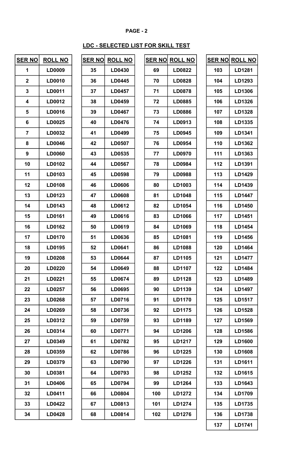# LDC - SELECTED LIST FOR SKILL TEST

٦

| <b>SER NO</b>  | <b>ROLL NO</b> | <b>SER NO</b> | <b>ROLL NO</b> |     | <b>SER NO ROLL NO</b> |     | SER NO ROLL NO |
|----------------|----------------|---------------|----------------|-----|-----------------------|-----|----------------|
| $\mathbf{1}$   | LD0009         | 35            | LD0430         | 69  | LD0822                | 103 | LD1281         |
| $\mathbf 2$    | LD0010         | 36            | LD0445         | 70  | LD0828                | 104 | LD1293         |
| 3              | LD0011         | 37            | LD0457         | 71  | <b>LD0878</b>         | 105 | LD1306         |
| 4              | LD0012         | 38            | LD0459         | 72  | LD0885                | 106 | LD1326         |
| 5              | LD0016         | 39            | LD0467         | 73  | LD0886                | 107 | LD1328         |
| 6              | LD0025         | 40            | LD0476         | 74  | LD0913                | 108 | LD1335         |
| $\overline{7}$ | LD0032         | 41            | LD0499         | 75  | LD0945                | 109 | LD1341         |
| 8              | LD0046         | 42            | LD0507         | 76  | LD0954                | 110 | LD1362         |
| 9              | <b>LD0060</b>  | 43            | LD0535         | 77  | <b>LD0970</b>         | 111 | LD1363         |
| 10             | LD0102         | 44            | LD0567         | 78  | LD0984                | 112 | LD1391         |
| 11             | LD0103         | 45            | LD0598         | 79  | LD0988                | 113 | LD1429         |
| 12             | LD0108         | 46            | LD0606         | 80  | LD1003                | 114 | LD1439         |
| 13             | LD0123         | 47            | LD0608         | 81  | LD1048                | 115 | LD1447         |
| 14             | LD0143         | 48            | LD0612         | 82  | LD1054                | 116 | LD1450         |
| 15             | LD0161         | 49            | LD0616         | 83  | LD1066                | 117 | LD1451         |
| 16             | LD0162         | 50            | LD0619         | 84  | LD1069                | 118 | LD1454         |
| 17             | <b>LD0170</b>  | 51            | LD0636         | 85  | LD1081                | 119 | LD1456         |
| 18             | LD0195         | 52            | LD0641         | 86  | LD1088                | 120 | LD1464         |
| 19             | LD0208         | 53            | LD0644         | 87  | LD1105                | 121 | <b>LD1477</b>  |
| 20             | LD0220         | 54            | LD0649         | 88  | LD1107                | 122 | LD1484         |
| 21             | LD0221         | 55            | LD0674         | 89  | <b>LD1128</b>         | 123 | LD1489         |
| 22             | LD0257         | 56            | LD0695         | 90  | LD1139                | 124 | LD1497         |
| 23             | LD0268         | 57            | LD0716         | 91  | LD1170                | 125 | LD1517         |
| 24             | LD0269         | 58            | LD0736         | 92  | LD1175                | 126 | LD1528         |
| 25             | LD0312         | 59            | LD0759         | 93  | LD1189                | 127 | LD1569         |
| 26             | LD0314         | 60            | LD0771         | 94  | LD1206                | 128 | LD1586         |
| 27             | LD0349         | 61            | LD0782         | 95  | LD1217                | 129 | LD1600         |
| 28             | LD0359         | 62            | LD0786         | 96  | LD1225                | 130 | LD1608         |
| 29             | LD0379         | 63            | LD0790         | 97  | LD1226                | 131 | LD1611         |
| 30             | LD0381         | 64            | LD0793         | 98  | LD1252                | 132 | LD1615         |
| 31             | LD0406         | 65            | LD0794         | 99  | LD1264                | 133 | LD1643         |
| 32             | LD0411         | 66            | LD0804         | 100 | LD1272                | 134 | LD1709         |
| 33             | <b>LD0422</b>  | 67            | LD0813         | 101 | LD1274                | 135 | LD1735         |
| 34             | LD0428         | 68            | LD0814         | 102 | LD1276                | 136 | LD1738         |

| SER NO | <b>ROLL NO</b> |
|--------|----------------|
| 35     | <b>LD0430</b>  |
| 36     | <b>LD0445</b>  |
| 37     | LD0457         |
| 38     | <b>LD0459</b>  |
| 39     | <b>LD0467</b>  |
| 40     | <b>LD0476</b>  |
| 41     | <b>LD0499</b>  |
| 42     | <b>LD0507</b>  |
| 43     | <b>LD0535</b>  |
| 44     | <b>LD0567</b>  |
| 45     | LD0598         |
| 46     | <b>LD0606</b>  |
| 47     | <b>LD0608</b>  |
| 48     | <b>LD0612</b>  |
| 49     | <b>LD0616</b>  |
| 50     | <b>LD0619</b>  |
| 51     | <b>LD0636</b>  |
| 52     | <b>LD0641</b>  |
| 53     | <b>LD0644</b>  |
| 54     | LD0649         |
| 55     | <b>LD0674</b>  |
| 56     | <b>LD0695</b>  |
| 57     | <b>LD0716</b>  |
| 58     | <b>LD0736</b>  |
| 59     | <b>LD0759</b>  |
| 60     | <b>LD0771</b>  |
| 61     | <b>LD0782</b>  |
| 62     | LD0786         |
| 63     | <b>LD0790</b>  |
| 64     | <b>LD0793</b>  |
| 65     | <b>LD0794</b>  |
| 66     | <b>LD0804</b>  |
| 67     | <b>LD0813</b>  |
| 68     | <b>LD0814</b>  |

| <u>R NO</u>      | <b>ROLL NO</b> | <u>SER NO</u> | <b>ROLL NO</b> |     | <u>SER NO ROLL NO</u> |     | <b>SER NO ROLL NO</b>    |
|------------------|----------------|---------------|----------------|-----|-----------------------|-----|--------------------------|
| 1                | LD0009         | 35            | LD0430         | 69  | LD0822                | 103 | LD1281                   |
| $\mathbf{2}$     | LD0010         | 36            | LD0445         | 70  | LD0828                | 104 | LD1293                   |
| $\mathbf 3$      | LD0011         | 37            | <b>LD0457</b>  | 71  | <b>LD0878</b>         | 105 | LD1306                   |
| 4                | LD0012         | 38            | LD0459         | 72  | LD0885                | 106 | LD1326                   |
| 5                | LD0016         | 39            | LD0467         | 73  | LD0886                | 107 | LD1328                   |
| $6\phantom{1}6$  | LD0025         | 40            | LD0476         | 74  | LD0913                | 108 | LD1335                   |
| $\overline{7}$   | LD0032         | 41            | LD0499         | 75  | LD0945                | 109 | LD1341                   |
| 8                | LD0046         | 42            | LD0507         | 76  | LD0954                | 110 | LD1362                   |
| $\boldsymbol{9}$ | <b>LD0060</b>  | 43            | LD0535         | 77  | LD0970                | 111 | LD1363                   |
| 10               | LD0102         | 44            | LD0567         | 78  | LD0984                | 112 | LD1391                   |
| 11               | LD0103         | 45            | LD0598         | 79  | LD0988                | 113 | LD1429                   |
| 12               | LD0108         | 46            | <b>LD0606</b>  | 80  | LD1003                | 114 | LD1439                   |
| 13               | LD0123         | 47            | LD0608         | 81  | LD1048                | 115 | LD1447                   |
| 14               | LD0143         | 48            | LD0612         | 82  | LD1054                | 116 | LD1450                   |
| 15               | LD0161         | 49            | LD0616         | 83  | LD1066                | 117 | LD1451                   |
| 16               | LD0162         | 50            | LD0619         | 84  | LD1069                | 118 | LD1454                   |
| 17               | <b>LD0170</b>  | 51            | LD0636         | 85  | LD1081                | 119 | LD1456                   |
| 18               | LD0195         | 52            | LD0641         | 86  | LD1088                | 120 | LD1464                   |
| 19               | LD0208         | 53            | LD0644         | 87  | LD1105                | 121 | <b>LD1477</b>            |
| 20               | <b>LD0220</b>  | 54            | <b>LD0649</b>  | 88  | LD1107                | 122 | <b>LD1484</b>            |
| 21               | LD0221         | 55            | LD0674         | 89  | LD1128                | 123 | LD1489                   |
| 22               | LD0257         | 56            | LD0695         | 90  | LD1139                | 124 | LD1497                   |
| 23               | LD0268         | 57            | LD0716         | 91  | LD1170                | 125 | LD1517                   |
| 24               | LD0269         | 58            | LD0736         | 92  | LD1175                | 126 | LD1528                   |
| 25               | LD0312         | 59            | LD0759         | 93  | LD1189                | 127 | LD1569                   |
| 26               | LD0314         | 60            | LD0771         | 94  | LD1206                | 128 | LD1586                   |
| 27               | LD0349         | 61            | LD0782         | 95  | LD1217                | 129 | LD1600                   |
| 28               | LD0359         | 62            | <b>LD0786</b>  | 96  | LD1225                | 130 | LD1608                   |
| 29               | LD0379         | 63            | LD0790         | 97  | LD1226                | 131 | LD1611                   |
| 30               | LD0381         | 64            | LD0793         | 98  | LD1252                | 132 | LD1615                   |
| 31               | LD0406         | 65            | LD0794         | 99  | LD1264                | 133 | LD1643                   |
| 32               | LD0411         | 66            | LD0804         | 100 | LD1272                | 134 | LD1709                   |
| 33               | LD0422         | 67            | LD0813         | 101 | LD1274                | 135 | LD1735                   |
| 34               | LD0428         | 68            | LD0814         | 102 | LD1276                | 136 | LD1738                   |
|                  |                |               |                |     |                       | 127 | $I$ D <sub>17</sub> $14$ |

|     | SER N <u>O  ROLL NO</u> |
|-----|-------------------------|
| 103 | <b>LD1281</b>           |
| 104 | LD1293                  |
| 105 | <b>LD1306</b>           |
| 106 | LD1326                  |
| 107 | LD1328                  |
| 108 | LD1335                  |
| 109 | LD1341                  |
| 110 | LD1362                  |
| 111 | LD1363                  |
| 112 | <b>LD1391</b>           |
| 113 | <b>LD1429</b>           |
| 114 | <b>LD1439</b>           |
| 115 | <b>LD1447</b>           |
| 116 | LD1450                  |
| 117 | LD1451                  |
| 118 | <b>LD1454</b>           |
| 119 | <b>LD1456</b>           |
| 120 | LD1464                  |
| 121 | <b>LD1477</b>           |
| 122 | LD1484                  |
| 123 | LD1489                  |
| 124 | <b>LD1497</b>           |
| 125 | LD1517                  |
| 126 | LD1528                  |
| 127 | LD1569                  |
| 128 | <b>LD1586</b>           |
| 129 | <b>LD1600</b>           |
| 130 | LD1608                  |
| 131 | <b>LD1611</b>           |
| 132 | <b>LD1615</b>           |
| 133 | LD1643                  |
| 134 | LD1709                  |
| 135 | LD1735                  |
| 136 | <b>LD1738</b>           |
| 137 | <b>LD1741</b>           |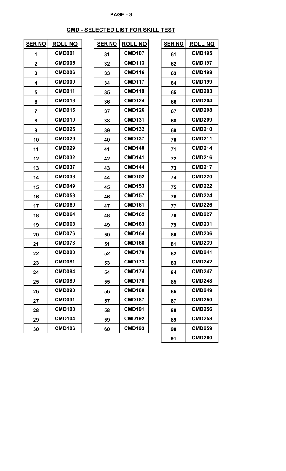# CMD - SELECTED LIST FOR SKILL TEST

| <b>SER NO</b>  | <b>ROLL NO</b> | <b>SER NO</b> | <b>ROLL NO</b>     | <b>SER NO</b> | <b>ROLL NO</b> |
|----------------|----------------|---------------|--------------------|---------------|----------------|
| 1              | <b>CMD001</b>  | 31            | <b>CMD107</b>      | 61            | <b>CMD195</b>  |
| $\mathbf 2$    | <b>CMD005</b>  | 32            | <b>CMD113</b>      | 62            | <b>CMD197</b>  |
| 3              | <b>CMD006</b>  | 33            | <b>CMD116</b>      | 63            | <b>CMD198</b>  |
| 4              | <b>CMD009</b>  | 34            | <b>CMD117</b>      | 64            | <b>CMD199</b>  |
| 5              | <b>CMD011</b>  | 35            | <b>CMD119</b>      | 65            | <b>CMD203</b>  |
| 6              | <b>CMD013</b>  | 36            | <b>CMD124</b>      | 66            | <b>CMD204</b>  |
| $\overline{7}$ | <b>CMD015</b>  | 37            | <b>CMD126</b>      | 67            | <b>CMD208</b>  |
| 8              | <b>CMD019</b>  | 38            | <b>CMD131</b>      | 68            | <b>CMD209</b>  |
| 9              | <b>CMD025</b>  | 39            | <b>CMD132</b>      | 69            | <b>CMD210</b>  |
| 10             | <b>CMD026</b>  | 40            | <b>CMD137</b>      | 70            | <b>CMD211</b>  |
| 11             | <b>CMD029</b>  | 41            | <b>CMD140</b>      | 71            | <b>CMD214</b>  |
| 12             | <b>CMD032</b>  | 42            | <b>CMD141</b>      | 72            | <b>CMD216</b>  |
| 13             | <b>CMD037</b>  | 43            | <b>CMD144</b>      | 73            | <b>CMD217</b>  |
| 14             | <b>CMD038</b>  | 44            | <b>CMD152</b>      | 74            | <b>CMD220</b>  |
| 15             | <b>CMD049</b>  | 45            | <b>CMD153</b>      | 75            | <b>CMD222</b>  |
| 16             | <b>CMD053</b>  | 46            | <b>CMD157</b>      | 76            | <b>CMD224</b>  |
| 17             | <b>CMD060</b>  | 47            | <b>CMD161</b>      | 77            | <b>CMD226</b>  |
| 18             | <b>CMD064</b>  | 48            | <b>CMD162</b>      | 78            | <b>CMD227</b>  |
| 19             | <b>CMD068</b>  | 49            | <b>CMD163</b>      | 79            | <b>CMD231</b>  |
| 20             | <b>CMD076</b>  | 50            | <b>CMD164</b>      | 80            | <b>CMD236</b>  |
| 21             | <b>CMD078</b>  | 51            | <b>CMD168</b>      | 81            | <b>CMD239</b>  |
| 22             | CMD080         | 52            | CMD <sub>170</sub> | 82            | <b>CMD241</b>  |
| 23             | <b>CMD081</b>  | 53            | <b>CMD173</b>      | 83            | <b>CMD242</b>  |
| 24             | <b>CMD084</b>  | 54            | <b>CMD174</b>      | 84            | <b>CMD247</b>  |
| 25             | <b>CMD089</b>  | 55            | <b>CMD178</b>      | 85            | <b>CMD248</b>  |
| 26             | <b>CMD090</b>  | 56            | <b>CMD180</b>      | 86            | <b>CMD249</b>  |
| 27             | <b>CMD091</b>  | 57            | <b>CMD187</b>      | 87            | <b>CMD250</b>  |
| 28             | <b>CMD100</b>  | 58            | <b>CMD191</b>      | 88            | <b>CMD256</b>  |
| 29             | <b>CMD104</b>  | 59            | <b>CMD192</b>      | 89            | <b>CMD258</b>  |
| 30             | <b>CMD106</b>  | 60            | <b>CMD193</b>      | 90            | <b>CMD259</b>  |
|                |                |               |                    |               |                |

| SER NO | <b>ROLL NO</b> |
|--------|----------------|
| 31     | <b>CMD107</b>  |
| 32     | <b>CMD113</b>  |
| 33     | <b>CMD116</b>  |
| 34     | <b>CMD117</b>  |
| 35     | <b>CMD119</b>  |
| 36     | <b>CMD124</b>  |
| 37     | <b>CMD126</b>  |
| 38     | <b>CMD131</b>  |
| 39     | <b>CMD132</b>  |
| 40     | <b>CMD137</b>  |
| 41     | <b>CMD140</b>  |
| 42     | <b>CMD141</b>  |
| 43     | <b>CMD144</b>  |
| 44     | <b>CMD152</b>  |
| 45     | <b>CMD153</b>  |
| 46     | <b>CMD157</b>  |
| 47     | <b>CMD161</b>  |
| 48     | <b>CMD162</b>  |
| 49     | <b>CMD163</b>  |
| 50     | <b>CMD164</b>  |
| 51     | <b>CMD168</b>  |
| 52     | <b>CMD170</b>  |
| 53     | <b>CMD173</b>  |
| 54     | <b>CMD174</b>  |
| 55     | <b>CMD178</b>  |
| 56     | <b>CMD180</b>  |
| 57     | <b>CMD187</b>  |
| 58     | <b>CMD191</b>  |
| 59     | <b>CMD192</b>  |
| 60     | <b>CMD193</b>  |

| <u>R NO</u>      | <b>ROLL NO</b> | <b>SER NO</b> | <b>ROLL NO</b> | <b>SER NO</b> | <b>ROLL NO</b> |
|------------------|----------------|---------------|----------------|---------------|----------------|
| 1                | <b>CMD001</b>  | 31            | <b>CMD107</b>  | 61            | <b>CMD195</b>  |
| $\boldsymbol{2}$ | <b>CMD005</b>  | 32            | <b>CMD113</b>  | 62            | <b>CMD197</b>  |
| 3                | <b>CMD006</b>  | 33            | <b>CMD116</b>  | 63            | <b>CMD198</b>  |
| 4                | <b>CMD009</b>  | 34            | <b>CMD117</b>  | 64            | <b>CMD199</b>  |
| 5                | <b>CMD011</b>  | 35            | <b>CMD119</b>  | 65            | <b>CMD203</b>  |
| 6                | <b>CMD013</b>  | 36            | <b>CMD124</b>  | 66            | <b>CMD204</b>  |
| 7                | <b>CMD015</b>  | 37            | <b>CMD126</b>  | 67            | <b>CMD208</b>  |
| 8                | <b>CMD019</b>  | 38            | <b>CMD131</b>  | 68            | <b>CMD209</b>  |
| 9                | <b>CMD025</b>  | 39            | <b>CMD132</b>  | 69            | <b>CMD210</b>  |
| 10               | <b>CMD026</b>  | 40            | <b>CMD137</b>  | 70            | <b>CMD211</b>  |
| 11               | <b>CMD029</b>  | 41            | <b>CMD140</b>  | 71            | <b>CMD214</b>  |
| 12               | <b>CMD032</b>  | 42            | <b>CMD141</b>  | 72            | <b>CMD216</b>  |
| 13               | <b>CMD037</b>  | 43            | <b>CMD144</b>  | 73            | <b>CMD217</b>  |
| 14               | <b>CMD038</b>  | 44            | <b>CMD152</b>  | 74            | <b>CMD220</b>  |
| 15               | <b>CMD049</b>  | 45            | <b>CMD153</b>  | 75            | <b>CMD222</b>  |
| 16               | <b>CMD053</b>  | 46            | <b>CMD157</b>  | 76            | <b>CMD224</b>  |
| 17               | <b>CMD060</b>  | 47            | <b>CMD161</b>  | 77            | <b>CMD226</b>  |
| 18               | <b>CMD064</b>  | 48            | <b>CMD162</b>  | 78            | <b>CMD227</b>  |
| 19               | <b>CMD068</b>  | 49            | <b>CMD163</b>  | 79            | <b>CMD231</b>  |
| 20               | <b>CMD076</b>  | 50            | <b>CMD164</b>  | 80            | <b>CMD236</b>  |
| 21               | <b>CMD078</b>  | 51            | <b>CMD168</b>  | 81            | <b>CMD239</b>  |
| 22               | <b>CMD080</b>  | 52            | <b>CMD170</b>  | 82            | <b>CMD241</b>  |
| 23               | <b>CMD081</b>  | 53            | <b>CMD173</b>  | 83            | <b>CMD242</b>  |
| 24               | <b>CMD084</b>  | 54            | <b>CMD174</b>  | 84            | <b>CMD247</b>  |
| 25               | <b>CMD089</b>  | 55            | <b>CMD178</b>  | 85            | <b>CMD248</b>  |
| 26               | <b>CMD090</b>  | 56            | <b>CMD180</b>  | 86            | <b>CMD249</b>  |
| 27               | <b>CMD091</b>  | 57            | <b>CMD187</b>  | 87            | <b>CMD250</b>  |
| 28               | <b>CMD100</b>  | 58            | <b>CMD191</b>  | 88            | <b>CMD256</b>  |
| 29               | <b>CMD104</b>  | 59            | <b>CMD192</b>  | 89            | <b>CMD258</b>  |
| 30               | <b>CMD106</b>  | 60            | <b>CMD193</b>  | 90            | <b>CMD259</b>  |
|                  |                |               |                | 91            | <b>CMD260</b>  |
|                  |                |               |                |               |                |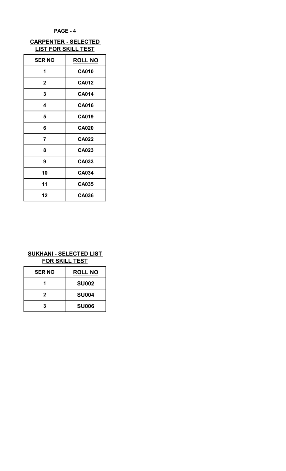## CARPENTER - SELECTED LIST FOR SKILL TEST

| <b>SER NO</b> | <b>ROLL NO</b> |
|---------------|----------------|
| 1             | <b>CA010</b>   |
| $\mathbf{2}$  | <b>CA012</b>   |
| 3             | <b>CA014</b>   |
| 4             | <b>CA016</b>   |
| 5             | <b>CA019</b>   |
| 6             | <b>CA020</b>   |
| 7             | <b>CA022</b>   |
| 8             | <b>CA023</b>   |
| 9             | CA033          |
| 10            | CA034          |
| 11            | <b>CA035</b>   |
| 12            | CA036          |

## SUKHANI - SELECTED LIST FOR SKILL TEST

| <b>SER NO</b> | <b>ROLL NO</b> |
|---------------|----------------|
|               | <b>SU002</b>   |
| 2             | <b>SU004</b>   |
| 3             | <b>SU006</b>   |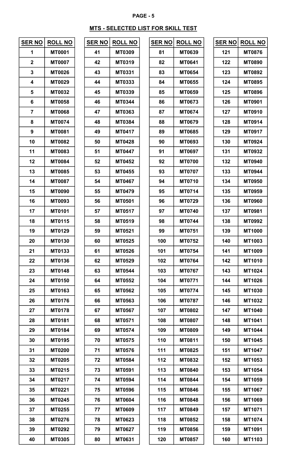### MTS - SELECTED LIST FOR SKILL TEST

| <u>SER NO</u>  | <b>ROLL NO</b> |
|----------------|----------------|
| 1              | MT0001         |
| $\overline{2}$ | MT0007         |
| 3              | MT0026         |
| 4              | MT0029         |
| 5              | MT0032         |
| 6              | <b>MT0058</b>  |
| 7              | <b>MT0068</b>  |
| 8              | MT0074         |
| 9              | MT0081         |
| 10             | MT0082         |
| 11             | MT0083         |
| 12             | MT0084         |
| 13             | MT0085         |
| 14             | MT0087         |
| 15             | MT0090         |
| 16             | MT0093         |
| 17             | MT0101         |
| 18             | MT0115         |
| 19             | MT0129         |
| 20             | <b>MT0130</b>  |
| 21             | <b>MT0133</b>  |
| 22             | <b>MT0136</b>  |
| 23             | MT0148         |
| 24             | MT0150         |
| 25             | MT0163         |
| 26             | <b>MT0176</b>  |
| 27             | <b>MT0178</b>  |
| 28             | MT0181         |
| 29             | MT0184         |
| 30             | MT0195         |
| 31             | MT0200         |
| 32             | MT0205         |
| 33             | MT0215         |
| 34             | MT0217         |
| 35             | MT0221         |
| 36             | MT0245         |
| 37             | MT0255         |
| 38             | MT0276         |
| 39             | MT0292         |
| 40             | <b>MT0305</b>  |

| ER NO | <b>ROLL NO</b> |
|-------|----------------|
| 41    | MT0309         |
| 42    | MT0319         |
| 43    | MT0331         |
| 44    | MT0333         |
| 45    | MT0339         |
| 46    | MT0344         |
| 47    | MT0363         |
| 48    | <b>MT0384</b>  |
| 49    | <b>MT0417</b>  |
| 50    | MT0428         |
| 51    | MT0447         |
| 52    | MT0452         |
| 53    | <b>MT0455</b>  |
| 54    | MT0467         |
| 55    | MT0479         |
| 56    | MT0501         |
| 57    | MT0517         |
| 58    | <b>MT0519</b>  |
| 59    | <b>MT0521</b>  |
| 60    | MT0525         |
| 61    | <b>MT0526</b>  |
| 62    | <b>MT0529</b>  |
| 63    | MT0544         |
| 64    | <b>MT0552</b>  |
| 65    | MT0562         |
| 66    | MT0563         |
| 67    | <b>MT0567</b>  |
| 68    | MT0571         |
| 69    | MT0574         |
| 70    | <b>MT0575</b>  |
| 71    | MT0576         |
| 72    | MT0584         |
| 73    | MT0591         |
| 74    | MT0594         |
| 75    | MT0596         |
| 76    | MT0604         |
| 77    | MT0609         |
| 78    | <b>MT0623</b>  |
| 79    | MT0627         |
| 80    | MT0631         |

| <u>R NO</u>             | <b>ROLL NO</b> | <b>SER NO</b> | <b>ROLL NO</b> | <b>SER NO</b> | <b>ROLL NO</b> | <b>SER NO</b> | <b>ROLL NO</b> |
|-------------------------|----------------|---------------|----------------|---------------|----------------|---------------|----------------|
| 1                       | <b>MT0001</b>  | 41            | <b>MT0309</b>  | 81            | <b>MT0639</b>  | 121           | <b>MT0876</b>  |
| $\boldsymbol{2}$        | <b>MT0007</b>  | 42            | <b>MT0319</b>  | 82            | <b>MT0641</b>  | 122           | <b>MT0890</b>  |
| $\mathbf 3$             | <b>MT0026</b>  | 43            | <b>MT0331</b>  | 83            | <b>MT0654</b>  | 123           | <b>MT0892</b>  |
| 4                       | <b>MT0029</b>  | 44            | <b>MT0333</b>  | 84            | <b>MT0655</b>  | 124           | <b>MT0895</b>  |
| $\overline{\mathbf{5}}$ | <b>MT0032</b>  | 45            | <b>MT0339</b>  | 85            | <b>MT0659</b>  | 125           | <b>MT0896</b>  |
| $6\phantom{1}6$         | <b>MT0058</b>  | 46            | <b>MT0344</b>  | 86            | <b>MT0673</b>  | 126           | <b>MT0901</b>  |
| $\overline{\mathbf{r}}$ | <b>MT0068</b>  | 47            | <b>MT0363</b>  | 87            | <b>MT0674</b>  | 127           | <b>MT0910</b>  |
| 8                       | <b>MT0074</b>  | 48            | <b>MT0384</b>  | 88            | <b>MT0679</b>  | 128           | MT0914         |
| 9                       | <b>MT0081</b>  | 49            | MT0417         | 89            | <b>MT0685</b>  | 129           | MT0917         |
| 10                      | <b>MT0082</b>  | 50            | <b>MT0428</b>  | 90            | <b>MT0693</b>  | 130           | <b>MT0924</b>  |
| 11                      | <b>MT0083</b>  | 51            | <b>MT0447</b>  | 91            | <b>MT0697</b>  | 131           | MT0932         |
| 12                      | <b>MT0084</b>  | 52            | <b>MT0452</b>  | 92            | <b>MT0700</b>  | 132           | <b>MT0940</b>  |
| 13                      | <b>MT0085</b>  | 53            | <b>MT0455</b>  | 93            | <b>MT0707</b>  | 133           | <b>MT0944</b>  |
| 14                      | <b>MT0087</b>  | 54            | <b>MT0467</b>  | 94            | <b>MT0710</b>  | 134           | <b>MT0950</b>  |
| 15                      | <b>MT0090</b>  | 55            | <b>MT0479</b>  | 95            | <b>MT0714</b>  | 135           | <b>MT0959</b>  |
| 16                      | <b>MT0093</b>  | 56            | <b>MT0501</b>  | 96            | <b>MT0729</b>  | 136           | <b>MT0960</b>  |
| 17                      | <b>MT0101</b>  | 57            | <b>MT0517</b>  | 97            | <b>MT0740</b>  | 137           | <b>MT0981</b>  |
| 18                      | <b>MT0115</b>  | 58            | <b>MT0519</b>  | 98            | <b>MT0744</b>  | 138           | <b>MT0992</b>  |
| 19                      | MT0129         | 59            | <b>MT0521</b>  | 99            | <b>MT0751</b>  | 139           | <b>MT1000</b>  |
| 20                      | <b>MT0130</b>  | 60            | <b>MT0525</b>  | 100           | <b>MT0752</b>  | 140           | MT1003         |
| 21                      | <b>MT0133</b>  | 61            | <b>MT0526</b>  | 101           | <b>MT0754</b>  | 141           | <b>MT1009</b>  |
| 22                      | <b>MT0136</b>  | 62            | <b>MT0529</b>  | 102           | <b>MT0764</b>  | 142           | <b>MT1010</b>  |
| 23                      | <b>MT0148</b>  | 63            | <b>MT0544</b>  | 103           | <b>MT0767</b>  | 143           | MT1024         |
| 24                      | <b>MT0150</b>  | 64            | <b>MT0552</b>  | 104           | <b>MT0771</b>  | 144           | MT1026         |
| 25                      | <b>MT0163</b>  | 65            | <b>MT0562</b>  | 105           | <b>MT0774</b>  | 145           | <b>MT1030</b>  |
| 26                      | <b>MT0176</b>  | 66            | <b>MT0563</b>  | 106           | <b>MT0787</b>  | 146           | MT1032         |
| 27                      | <b>MT0178</b>  | 67            | <b>MT0567</b>  | 107           | <b>MT0802</b>  | 147           | MT1040         |
| 28                      | <b>MT0181</b>  | 68            | <b>MT0571</b>  | 108           | <b>MT0807</b>  | 148           | MT1041         |
| 29                      | <b>MT0184</b>  | 69            | <b>MT0574</b>  | 109           | <b>MT0809</b>  | 149           | MT1044         |
| 30                      | <b>MT0195</b>  | 70            | <b>MT0575</b>  | 110           | <b>MT0811</b>  | 150           | MT1045         |
| 31                      | <b>MT0200</b>  | 71            | <b>MT0576</b>  | 111           | <b>MT0825</b>  | 151           | MT1047         |
| 32                      | <b>MT0205</b>  | 72            | <b>MT0584</b>  | 112           | <b>MT0832</b>  | 152           | MT1053         |
| 33                      | MT0215         | 73            | <b>MT0591</b>  | 113           | <b>MT0840</b>  | 153           | MT1054         |
| 34                      | MT0217         | 74            | <b>MT0594</b>  | 114           | <b>MT0844</b>  | 154           | MT1059         |
| 35                      | <b>MT0221</b>  | 75            | <b>MT0596</b>  | 115           | <b>MT0846</b>  | 155           | <b>MT1067</b>  |
| 36                      | <b>MT0245</b>  | 76            | <b>MT0604</b>  | 116           | <b>MT0848</b>  | 156           | <b>MT1069</b>  |
| 37                      | <b>MT0255</b>  | 77            | <b>MT0609</b>  | 117           | <b>MT0849</b>  | 157           | MT1071         |
| 38                      | <b>MT0276</b>  | 78            | <b>MT0623</b>  | 118           | <b>MT0852</b>  | 158           | MT1074         |
| 39                      | <b>MT0292</b>  | 79            | <b>MT0627</b>  | 119           | <b>MT0856</b>  | 159           | MT1091         |
| 40                      | <b>MT0305</b>  | 80            | <b>MT0631</b>  | 120           | <b>MT0857</b>  | 160           | MT1103         |
|                         |                |               |                |               |                |               |                |

| <u>SER NO</u>    | <b>ROLL NO</b> | <b>SER NO</b> | <b>ROLL NO</b> | <b>SER NO</b> | <b>ROLL NO</b> | <b>SER NO</b> | <b>ROLL NO</b> |
|------------------|----------------|---------------|----------------|---------------|----------------|---------------|----------------|
| 1                | <b>MT0001</b>  | 41            | <b>MT0309</b>  | 81            | <b>MT0639</b>  | 121           | <b>MT0876</b>  |
| $\boldsymbol{2}$ | <b>MT0007</b>  | 42            | <b>MT0319</b>  | 82            | <b>MT0641</b>  | 122           | <b>MT0890</b>  |
| $\mathbf{3}$     | <b>MT0026</b>  | 43            | <b>MT0331</b>  | 83            | <b>MT0654</b>  | 123           | <b>MT0892</b>  |
| 4                | <b>MT0029</b>  | 44            | <b>MT0333</b>  | 84            | <b>MT0655</b>  | 124           | <b>MT0895</b>  |
| 5                | <b>MT0032</b>  | 45            | <b>MT0339</b>  | 85            | <b>MT0659</b>  | 125           | <b>MT0896</b>  |
| $\bf 6$          | <b>MT0058</b>  | 46            | <b>MT0344</b>  | 86            | <b>MT0673</b>  | 126           | <b>MT0901</b>  |
| 7                | <b>MT0068</b>  | 47            | <b>MT0363</b>  | 87            | <b>MT0674</b>  | 127           | <b>MT0910</b>  |
| 8                | <b>MT0074</b>  | 48            | <b>MT0384</b>  | 88            | <b>MT0679</b>  | 128           | MT0914         |
| 9                | <b>MT0081</b>  | 49            | <b>MT0417</b>  | 89            | <b>MT0685</b>  | 129           | <b>MT0917</b>  |
| 10               | <b>MT0082</b>  | 50            | <b>MT0428</b>  | 90            | <b>MT0693</b>  | 130           | <b>MT0924</b>  |
| 11               | <b>MT0083</b>  | 51            | <b>MT0447</b>  | 91            | <b>MT0697</b>  | 131           | <b>MT0932</b>  |
| 12               | <b>MT0084</b>  | 52            | <b>MT0452</b>  | 92            | <b>MT0700</b>  | 132           | <b>MT0940</b>  |
| 13               | <b>MT0085</b>  | 53            | MT0455         | 93            | <b>MT0707</b>  | 133           | <b>MT0944</b>  |
| 14               | <b>MT0087</b>  | 54            | <b>MT0467</b>  | 94            | <b>MT0710</b>  | 134           | <b>MT0950</b>  |
| 15               | <b>MT0090</b>  | 55            | <b>MT0479</b>  | 95            | <b>MT0714</b>  | 135           | <b>MT0959</b>  |
| 16               | <b>MT0093</b>  | 56            | <b>MT0501</b>  | 96            | <b>MT0729</b>  | 136           | <b>MT0960</b>  |
| 17               | <b>MT0101</b>  | 57            | <b>MT0517</b>  | 97            | <b>MT0740</b>  | 137           | <b>MT0981</b>  |
| 18               | <b>MT0115</b>  | 58            | <b>MT0519</b>  | 98            | <b>MT0744</b>  | 138           | <b>MT0992</b>  |
| 19               | <b>MT0129</b>  | 59            | <b>MT0521</b>  | 99            | <b>MT0751</b>  | 139           | <b>MT1000</b>  |
| 20               | <b>MT0130</b>  | 60            | <b>MT0525</b>  | 100           | <b>MT0752</b>  | 140           | <b>MT1003</b>  |
| 21               | <b>MT0133</b>  | 61            | <b>MT0526</b>  | 101           | <b>MT0754</b>  | 141           | <b>MT1009</b>  |
| 22               | <b>MT0136</b>  | 62            | <b>MT0529</b>  | 102           | <b>MT0764</b>  | 142           | <b>MT1010</b>  |
| 23               | <b>MT0148</b>  | 63            | <b>MT0544</b>  | 103           | <b>MT0767</b>  | 143           | MT1024         |
| 24               | <b>MT0150</b>  | 64            | <b>MT0552</b>  | 104           | <b>MT0771</b>  | 144           | <b>MT1026</b>  |
| 25               | <b>MT0163</b>  | 65            | <b>MT0562</b>  | 105           | <b>MT0774</b>  | 145           | <b>MT1030</b>  |
| 26               | <b>MT0176</b>  | 66            | <b>MT0563</b>  | 106           | <b>MT0787</b>  | 146           | <b>MT1032</b>  |
| 27               | <b>MT0178</b>  | 67            | <b>MT0567</b>  | 107           | <b>MT0802</b>  | 147           | MT1040         |
| 28               | <b>MT0181</b>  | 68            | <b>MT0571</b>  | 108           | <b>MT0807</b>  | 148           | MT1041         |
| 29               | <b>MT0184</b>  | 69            | <b>MT0574</b>  | 109           | <b>MT0809</b>  | 149           | <b>MT1044</b>  |
| 30               | <b>MT0195</b>  | 70            | <b>MT0575</b>  | 110           | <b>MT0811</b>  | 150           | MT1045         |
| 31               | <b>MT0200</b>  | 71            | <b>MT0576</b>  | 111           | <b>MT0825</b>  | 151           | MT1047         |
| 32               | <b>MT0205</b>  | 72            | <b>MT0584</b>  | 112           | <b>MT0832</b>  | 152           | MT1053         |
| 33               | MT0215         | 73            | <b>MT0591</b>  | 113           | <b>MT0840</b>  | 153           | MT1054         |
| 34               | <b>MT0217</b>  | 74            | <b>MT0594</b>  | 114           | <b>MT0844</b>  | 154           | MT1059         |
| 35               | <b>MT0221</b>  | 75            | <b>MT0596</b>  | 115           | <b>MT0846</b>  | 155           | <b>MT1067</b>  |
| 36               | <b>MT0245</b>  | 76            | <b>MT0604</b>  | 116           | <b>MT0848</b>  | 156           | <b>MT1069</b>  |
| 37               | <b>MT0255</b>  | 77            | <b>MT0609</b>  | 117           | <b>MT0849</b>  | 157           | MT1071         |
| 38               | <b>MT0276</b>  | 78            | <b>MT0623</b>  | 118           | <b>MT0852</b>  | 158           | MT1074         |
| 39               | <b>MT0292</b>  | 79            | <b>MT0627</b>  | 119           | <b>MT0856</b>  | 159           | MT1091         |
| 40               | <b>MT0305</b>  | 80            | <b>MT0631</b>  | 120           | <b>MT0857</b>  | 160           | MT1103         |
|                  |                |               |                |               |                |               |                |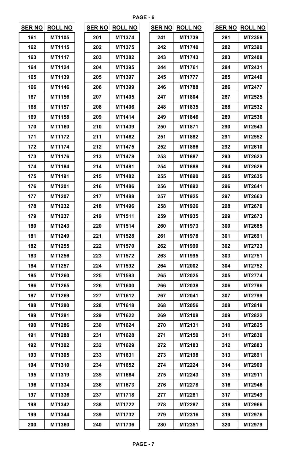| <b>SER NO</b> | <b>ROLL NO</b> | <b>SER NO</b> | <b>ROLL NO</b> | <b>SER NO</b> | <b>ROLL NO</b> | <b>SER NO</b> | <b>ROLL NO</b> |
|---------------|----------------|---------------|----------------|---------------|----------------|---------------|----------------|
| 161           | MT1105         | 201           | MT1374         | 241           | MT1739         | 281           | <b>MT2358</b>  |
| 162           | MT1115         | 202           | MT1375         | 242           | <b>MT1740</b>  | 282           | <b>MT2390</b>  |
| 163           | MT1117         | 203           | MT1382         | 243           | <b>MT1743</b>  | 283           | <b>MT2408</b>  |
| 164           | MT1124         | 204           | MT1395         | 244           | <b>MT1761</b>  | 284           | MT2431         |
| 165           | MT1139         | 205           | MT1397         | 245           | <b>MT1777</b>  | 285           | MT2440         |
| 166           | MT1146         | 206           | MT1399         | 246           | <b>MT1788</b>  | 286           | MT2477         |
| 167           | MT1156         | 207           | MT1405         | 247           | MT1804         | 287           | <b>MT2525</b>  |
| 168           | MT1157         | 208           | <b>MT1406</b>  | 248           | MT1835         | 288           | MT2532         |
| 169           | MT1158         | 209           | MT1414         | 249           | MT1846         | 289           | MT2536         |
| 170           | <b>MT1160</b>  | 210           | MT1439         | 250           | MT1871         | 290           | MT2543         |
| 171           | MT1172         | 211           | MT1462         | 251           | MT1882         | 291           | MT2552         |
| 172           | MT1174         | 212           | MT1475         | 252           | MT1886         | 292           | MT2610         |
| 173           | MT1176         | 213           | <b>MT1478</b>  | 253           | MT1887         | 293           | MT2623         |
| 174           | MT1184         | 214           | MT1481         | 254           | <b>MT1888</b>  | 294           | MT2628         |
| 175           | <b>MT1191</b>  | 215           | <b>MT1482</b>  | 255           | <b>MT1890</b>  | 295           | MT2635         |
| 176           | MT1201         | 216           | MT1486         | 256           | MT1892         | 296           | MT2641         |
| 177           | <b>MT1207</b>  | 217           | <b>MT1488</b>  | 257           | MT1925         | 297           | MT2663         |
| 178           | MT1232         | 218           | MT1496         | 258           | MT1926         | 298           | MT2670         |
| 179           | MT1237         | 219           | MT1511         | 259           | MT1935         | 299           | MT2673         |
| 180           | MT1243         | 220           | MT1514         | 260           | MT1973         | 300           | MT2685         |
| 181           | MT1249         | 221           | MT1528         | 261           | <b>MT1978</b>  | 301           | MT2691         |
| 182           | MT1255         | 222           | MT1570         | 262           | MT1990         | 302           | <b>MT2723</b>  |
| 183           | MT1256         | 223           | MT1572         | 263           | MT1995         | 303           | MT2751         |
| 184           | MT1257         | 224           | <b>MT1592</b>  | 264           | <b>MT2002</b>  | 304           | <b>MT2752</b>  |
| 185           | <b>MT1260</b>  | 225           | MT1593         | 265           | <b>MT2025</b>  | 305           | MT2774         |
| 186           | MT1265         | 226           | <b>MT1600</b>  | 266           | <b>MT2038</b>  | 306           | <b>MT2796</b>  |
| 187           | MT1269         | 227           | MT1612         | 267           | <b>MT2041</b>  | 307           | MT2799         |
| 188           | <b>MT1280</b>  | 228           | MT1618         | 268           | <b>MT2056</b>  | 308           | MT2818         |
| 189           | MT1281         | 229           | MT1622         | 269           | <b>MT2108</b>  | 309           | <b>MT2822</b>  |
| 190           | <b>MT1286</b>  | 230           | MT1624         | 270           | MT2131         | 310           | MT2825         |
| 191           | <b>MT1288</b>  | 231           | MT1628         | 271           | MT2150         | 311           | MT2830         |
| 192           | <b>MT1302</b>  | 232           | MT1629         | 272           | MT2183         | 312           | MT2883         |
| 193           | MT1305         | 233           | MT1631         | 273           | <b>MT2198</b>  | 313           | MT2891         |
| 194           | <b>MT1310</b>  | 234           | MT1652         | 274           | <b>MT2224</b>  | 314           | MT2909         |
| 195           | MT1319         | 235           | MT1664         | 275           | <b>MT2243</b>  | 315           | MT2911         |
| 196           | MT1334         | 236           | MT1673         | 276           | <b>MT2278</b>  | 316           | <b>MT2946</b>  |
| 197           | MT1336         | 237           | <b>MT1718</b>  | 277           | <b>MT2281</b>  | 317           | MT2949         |
| 198           | <b>MT1342</b>  | 238           | <b>MT1722</b>  | 278           | <b>MT2287</b>  | 318           | <b>MT2966</b>  |
| 199           | MT1344         | 239           | <b>MT1732</b>  | 279           | MT2316         | 319           | <b>MT2976</b>  |
| 200           | <b>MT1360</b>  | 240           | MT1736         | 280           | MT2351         | 320           | MT2979         |

| ER NO | <b>ROLL NO</b> |
|-------|----------------|
| 201   | MT1374         |
| 202   | MT1375         |
| 203   | MT1382         |
| 204   | MT1395         |
| 205   | MT1397         |
| 206   | MT1399         |
| 207   | MT1405         |
| 208   | MT1406         |
| 209   | MT1414         |
| 210   | MT1439         |
| 211   | MT1462         |
| 212   | MT1475         |
| 213   | MT1478         |
| 214   | MT1481         |
| 215   | MT1482         |
| 216   | MT1486         |
| 217   | MT1488         |
| 218   | MT1496         |
| 219   | MT1511         |
| 220   | MT1514         |
| 221   | MT1528         |
| 222   | MT1570         |
| 223   | MT1572         |
| 224   | MT1592         |
| 225   | MT1593         |
| 226   | MT1600         |
| 227   | MT1612         |
| 228   | MT1618         |
| 229   | MT1622         |
| 230   | MT1624         |
| 231   | MT1628         |
| 232   | MT1629         |
| 233   | MT1631         |
| 234   | MT1652         |
| 235   | MT1664         |
| 236   | MT1673         |
| 237   | MT1718         |
| 238   | MT1722         |
| 239   | MT1732         |
| 240   | MT1736         |

| <u>SER NO</u> | <u>ROLL NO</u> |
|---------------|----------------|
| 241           | MT1739         |
| 242           | MT1740         |
| 243           | MT1743         |
| 244           | MT1761         |
| 245           | <b>MT1777</b>  |
| 246           | <b>MT1788</b>  |
| 247           | MT1804         |
| 248           | MT1835         |
| 249           | MT1846         |
| 250           | MT1871         |
| 251           | MT1882         |
| 252           | MT1886         |
| 253           | MT1887         |
| 254           | MT1888         |
| 255           | MT1890         |
| 256           | MT1892         |
| 257           | MT1925         |
| 258           | MT1926         |
| 259           | MT1935         |
| 260           | MT1973         |
| 261           | MT1978         |
| 262           | MT1990         |
| 263           | MT1995         |
| 264           | <b>MT2002</b>  |
| 265           | MT2025         |
| 266           | MT2038         |
| 267           | MT2041         |
| 268           | <b>MT2056</b>  |
| 269           | MT2108         |
| 270           | MT2131         |
| 271           | MT2150         |
| 272           | MT2183         |
| 273           | MT2198         |
| 274           | <b>MT2224</b>  |
| 275           | MT2243         |
| 276           | MT2278         |
| 277           | MT2281         |
| 278           | MT2287         |
| 279           | MT2316         |
| 280           | MT2351         |

| <b>ROLL NO</b> | <b>SER NO</b> | <b>ROLL NO</b> |     | <b>ROLL NO</b> |               | <b>SER NO</b> | <b>ROLL NO</b> |
|----------------|---------------|----------------|-----|----------------|---------------|---------------|----------------|
| MT1105         | 201           | MT1374         | 241 | MT1739         |               | 281           | <b>MT2358</b>  |
| MT1115         | 202           | MT1375         | 242 | MT1740         |               | 282           | <b>MT2390</b>  |
| <b>MT1117</b>  | 203           | MT1382         | 243 | <b>MT1743</b>  |               | 283           | <b>MT2408</b>  |
| MT1124         | 204           | MT1395         | 244 | <b>MT1761</b>  |               | 284           | MT2431         |
| MT1139         | 205           | MT1397         | 245 | <b>MT1777</b>  |               | 285           | MT2440         |
| MT1146         | 206           | MT1399         | 246 | <b>MT1788</b>  |               | 286           | MT2477         |
| MT1156         | 207           | MT1405         | 247 | <b>MT1804</b>  |               | 287           | MT2525         |
| MT1157         | 208           | MT1406         | 248 | MT1835         |               | 288           | MT2532         |
| MT1158         | 209           | MT1414         | 249 | MT1846         |               | 289           | MT2536         |
| MT1160         | 210           | MT1439         | 250 | MT1871         |               | 290           | MT2543         |
| MT1172         | 211           | MT1462         | 251 | MT1882         |               | 291           | MT2552         |
| MT1174         | 212           | MT1475         | 252 | MT1886         |               | 292           | MT2610         |
| MT1176         | 213           | MT1478         | 253 | MT1887         |               | 293           | MT2623         |
| MT1184         | 214           | MT1481         | 254 | <b>MT1888</b>  |               | 294           | MT2628         |
| <b>MT1191</b>  | 215           | <b>MT1482</b>  | 255 | <b>MT1890</b>  |               | 295           | MT2635         |
| MT1201         | 216           | MT1486         | 256 | MT1892         |               | 296           | MT2641         |
| MT1207         | 217           | <b>MT1488</b>  | 257 | MT1925         |               | 297           | MT2663         |
| MT1232         | 218           | MT1496         | 258 | MT1926         |               | 298           | MT2670         |
| MT1237         | 219           | MT1511         | 259 | MT1935         |               | 299           | MT2673         |
| MT1243         | 220           | MT1514         | 260 | MT1973         |               | 300           | MT2685         |
| MT1249         | 221           | MT1528         | 261 | MT1978         |               | 301           | MT2691         |
| MT1255         | 222           | MT1570         | 262 | MT1990         |               | 302           | MT2723         |
| MT1256         | 223           | MT1572         | 263 | MT1995         |               | 303           | MT2751         |
| MT1257         | 224           | <b>MT1592</b>  | 264 | <b>MT2002</b>  |               | 304           | <b>MT2752</b>  |
| <b>MT1260</b>  | 225           | MT1593         | 265 | <b>MT2025</b>  |               | 305           | <b>MT2774</b>  |
| MT1265         | 226           | <b>MT1600</b>  | 266 | <b>MT2038</b>  |               | 306           | <b>MT2796</b>  |
| MT1269         | 227           | MT1612         | 267 | <b>MT2041</b>  |               | 307           | <b>MT2799</b>  |
| <b>MT1280</b>  | 228           | MT1618         | 268 | <b>MT2056</b>  |               | 308           | MT2818         |
| MT1281         | 229           | MT1622         | 269 | <b>MT2108</b>  |               | 309           | <b>MT2822</b>  |
| MT1286         | 230           | MT1624         | 270 | MT2131         |               | 310           | MT2825         |
| <b>MT1288</b>  | 231           | <b>MT1628</b>  | 271 | MT2150         |               | 311           | <b>MT2830</b>  |
| MT1302         | 232           | MT1629         | 272 | MT2183         |               | 312           | MT2883         |
| MT1305         | 233           | MT1631         | 273 | <b>MT2198</b>  |               | 313           | MT2891         |
| <b>MT1310</b>  | 234           | MT1652         | 274 | <b>MT2224</b>  |               | 314           | MT2909         |
| MT1319         | 235           | MT1664         | 275 | MT2243         |               | 315           | MT2911         |
| MT1334         | 236           | MT1673         | 276 | <b>MT2278</b>  |               | 316           | MT2946         |
| MT1336         | 237           | <b>MT1718</b>  | 277 | <b>MT2281</b>  |               | 317           | MT2949         |
| MT1342         | 238           | <b>MT1722</b>  | 278 | <b>MT2287</b>  |               | 318           | <b>MT2966</b>  |
| <b>MT1344</b>  | 239           | <b>MT1732</b>  | 279 | MT2316         |               | 319           | MT2976         |
| <b>MT1360</b>  | 240           | MT1736         | 280 | <b>MT2351</b>  |               | 320           | MT2979         |
|                |               |                |     |                | <b>SER NO</b> |               |                |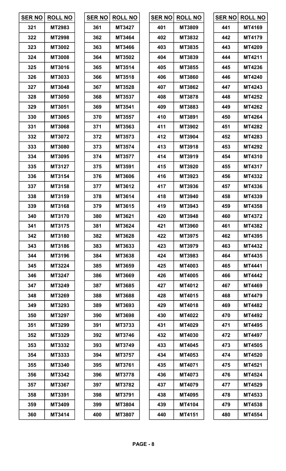| <b>SER NO</b> | <b>ROLL NO</b> | <b>SER NO</b> | <b>ROLL NO</b> | <b>SER NO</b> | <b>ROLL NO</b> | <b>SER NO</b> | <b>ROLL NO</b> |
|---------------|----------------|---------------|----------------|---------------|----------------|---------------|----------------|
| 321           | MT2983         | 361           | MT3427         | 401           | <b>MT3809</b>  | 441           | MT4169         |
| 322           | <b>MT2998</b>  | 362           | MT3464         | 402           | MT3832         | 442           | MT4179         |
| 323           | <b>MT3002</b>  | 363           | MT3466         | 403           | MT3835         | 443           | <b>MT4209</b>  |
| 324           | <b>MT3008</b>  | 364           | MT3502         | 404           | MT3839         | 444           | MT4211         |
| 325           | MT3016         | 365           | MT3514         | 405           | MT3855         | 445           | MT4236         |
| 326           | MT3033         | 366           | MT3518         | 406           | <b>MT3860</b>  | 446           | <b>MT4240</b>  |
| 327           | <b>MT3048</b>  | 367           | MT3528         | 407           | MT3862         | 447           | MT4243         |
| 328           | <b>MT3050</b>  | 368           | MT3537         | 408           | <b>MT3878</b>  | 448           | <b>MT4252</b>  |
| 329           | <b>MT3051</b>  | 369           | MT3541         | 409           | MT3883         | 449           | <b>MT4262</b>  |
| 330           | <b>MT3065</b>  | 370           | MT3557         | 410           | MT3891         | 450           | MT4264         |
| 331           | <b>MT3068</b>  | 371           | MT3563         | 411           | MT3902         | 451           | <b>MT4282</b>  |
| 332           | MT3072         | 372           | MT3573         | 412           | MT3904         | 452           | MT4283         |
| 333           | <b>MT3080</b>  | 373           | MT3574         | 413           | MT3918         | 453           | <b>MT4292</b>  |
| 334           | MT3095         | 374           | MT3577         | 414           | MT3919         | 454           | MT4310         |
| 335           | MT3127         | 375           | MT3591         | 415           | <b>MT3920</b>  | 455           | MT4317         |
| 336           | MT3154         | 376           | <b>MT3606</b>  | 416           | MT3923         | 456           | MT4332         |
| 337           | MT3158         | 377           | MT3612         | 417           | MT3936         | 457           | MT4336         |
| 338           | MT3159         | 378           | MT3614         | 418           | <b>MT3940</b>  | 458           | MT4339         |
| 339           | MT3168         | 379           | MT3615         | 419           | MT3943         | 459           | <b>MT4358</b>  |
| 340           | MT3170         | 380           | MT3621         | 420           | MT3948         | 460           | MT4372         |
| 341           | MT3175         | 381           | MT3624         | 421           | <b>MT3960</b>  | 461           | <b>MT4382</b>  |
| 342           | MT3180         | 382           | MT3628         | 422           | MT3975         | 462           | MT4395         |
| 343           | MT3186         | 383           | MT3633         | 423           | MT3979         | 463           | <b>MT4432</b>  |
| 344           | MT3196         | 384           | MT3638         | 424           | MT3983         | 464           | MT4435         |
| 345           | MT3224         | 385           | MT3659         | 425           | <b>MT4003</b>  | 465           | <b>MT4441</b>  |
| 346           | MT3247         | 386           | <b>MT3669</b>  | 426           | <b>MT4005</b>  | 466           | <b>MT4442</b>  |
| 347           | MT3249         | 387           | MT3685         | 427           | MT4012         | 467           | <b>MT4469</b>  |
| 348           | MT3269         | 388           | <b>MT3688</b>  | 428           | MT4015         | 468           | <b>MT4479</b>  |
| 349           | MT3293         | 389           | MT3693         | 429           | MT4018         | 469           | <b>MT4482</b>  |
| 350           | MT3297         | 390           | <b>MT3698</b>  | 430           | <b>MT4022</b>  | 470           | <b>MT4492</b>  |
| 351           | MT3299         | 391           | MT3733         | 431           | MT4029         | 471           | <b>MT4495</b>  |
| 352           | MT3329         | 392           | MT3746         | 432           | <b>MT4030</b>  | 472           | <b>MT4497</b>  |
| 353           | MT3332         | 393           | MT3749         | 433           | <b>MT4045</b>  | 473           | <b>MT4505</b>  |
| 354           | MT3333         | 394           | <b>MT3757</b>  | 434           | <b>MT4053</b>  | 474           | <b>MT4520</b>  |
| 355           | <b>MT3340</b>  | 395           | MT3761         | 435           | MT4071         | 475           | <b>MT4521</b>  |
| 356           | MT3342         | 396           | MT3778         | 436           | <b>MT4073</b>  | 476           | MT4524         |
| 357           | MT3367         | 397           | <b>MT3782</b>  | 437           | MT4079         | 477           | <b>MT4529</b>  |
| 358           | MT3391         | 398           | MT3791         | 438           | <b>MT4095</b>  | 478           | MT4533         |
| 359           | MT3409         | 399           | <b>MT3804</b>  | 439           | <b>MT4104</b>  | 479           | <b>MT4538</b>  |
| 360           | MT3414         | 400           | <b>MT3807</b>  | 440           | <b>MT4151</b>  | 480           | <b>MT4554</b>  |